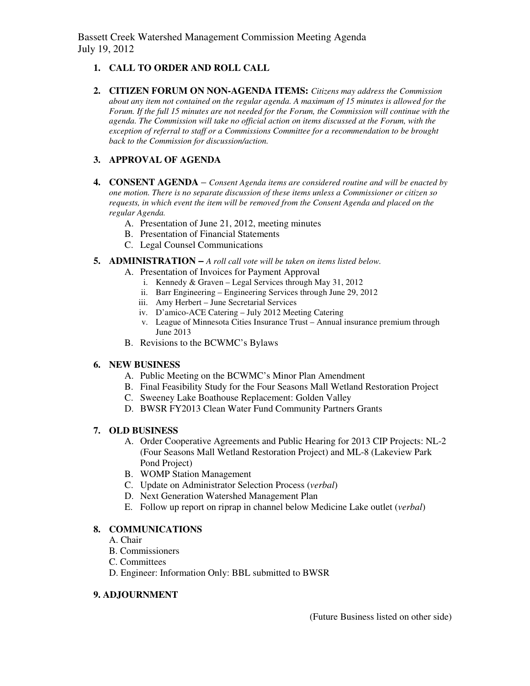Bassett Creek Watershed Management Commission Meeting Agenda July 19, 2012

### **1. CALL TO ORDER AND ROLL CALL**

**2. CITIZEN FORUM ON NON-AGENDA ITEMS:** *Citizens may address the Commission about any item not contained on the regular agenda. A maximum of 15 minutes is allowed for the Forum. If the full 15 minutes are not needed for the Forum, the Commission will continue with the agenda. The Commission will take no official action on items discussed at the Forum, with the exception of referral to staff or a Commissions Committee for a recommendation to be brought back to the Commission for discussion/action.* 

### **3. APPROVAL OF AGENDA**

- **4. CONSENT AGENDA** *Consent Agenda items are considered routine and will be enacted by one motion. There is no separate discussion of these items unless a Commissioner or citizen so requests, in which event the item will be removed from the Consent Agenda and placed on the regular Agenda.* 
	- A. Presentation of June 21, 2012, meeting minutes
	- B. Presentation of Financial Statements
	- C. Legal Counsel Communications
- **5. ADMINISTRATION** *A roll call vote will be taken on items listed below.*
	- A. Presentation of Invoices for Payment Approval
		- i. Kennedy & Graven Legal Services through May 31, 2012
		- ii. Barr Engineering Engineering Services through June 29, 2012
		- iii. Amy Herbert June Secretarial Services
		- iv. D'amico-ACE Catering July 2012 Meeting Catering
		- v. League of Minnesota Cities Insurance Trust Annual insurance premium through June 2013
	- B. Revisions to the BCWMC's Bylaws

#### **6. NEW BUSINESS**

- A. Public Meeting on the BCWMC's Minor Plan Amendment
- B. Final Feasibility Study for the Four Seasons Mall Wetland Restoration Project
- C. Sweeney Lake Boathouse Replacement: Golden Valley
- D. BWSR FY2013 Clean Water Fund Community Partners Grants

# **7. OLD BUSINESS**

- A. Order Cooperative Agreements and Public Hearing for 2013 CIP Projects: NL-2 (Four Seasons Mall Wetland Restoration Project) and ML-8 (Lakeview Park Pond Project)
- B. WOMP Station Management
- C. Update on Administrator Selection Process (*verbal*)
- D. Next Generation Watershed Management Plan
- E. Follow up report on riprap in channel below Medicine Lake outlet (*verbal*)

#### **8. COMMUNICATIONS**

- A. Chair
- B. Commissioners
- C. Committees
- D. Engineer: Information Only: BBL submitted to BWSR

#### **9. ADJOURNMENT**

(Future Business listed on other side)